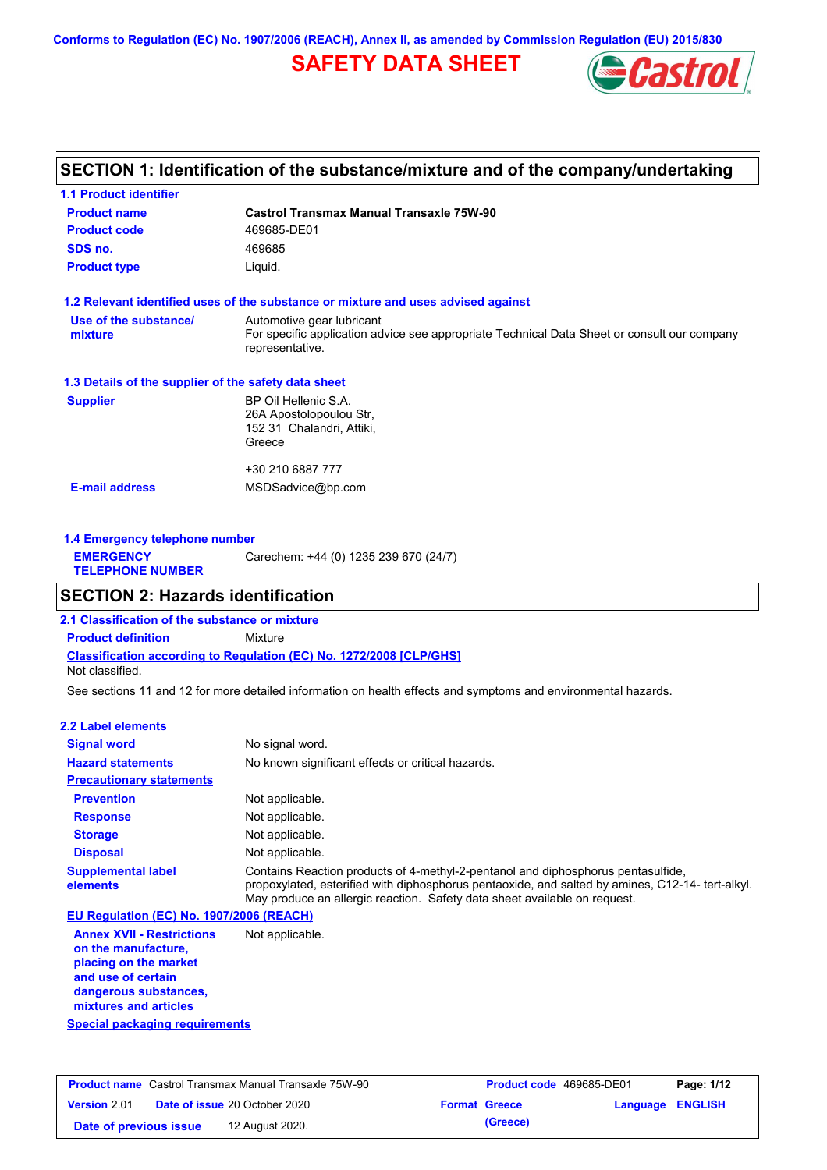# **SAFETY DATA SHEET**



## **SECTION 1: Identification of the substance/mixture and of the company/undertaking**

| <b>1.1 Product identifier</b>                        |                                                                                                                                             |
|------------------------------------------------------|---------------------------------------------------------------------------------------------------------------------------------------------|
| <b>Product name</b>                                  | Castrol Transmax Manual Transaxle 75W-90                                                                                                    |
| <b>Product code</b>                                  | 469685-DE01                                                                                                                                 |
| SDS no.                                              | 469685                                                                                                                                      |
| <b>Product type</b>                                  | Liquid.                                                                                                                                     |
|                                                      | 1.2 Relevant identified uses of the substance or mixture and uses advised against                                                           |
| Use of the substance/<br>mixture                     | Automotive gear lubricant<br>For specific application advice see appropriate Technical Data Sheet or consult our company<br>representative. |
| 1.3 Details of the supplier of the safety data sheet |                                                                                                                                             |
| <b>Supplier</b>                                      | BP Oil Hellenic S.A.<br>26A Apostolopoulou Str,<br>152 31 Chalandri, Attiki,<br>Greece                                                      |
|                                                      | +30 210 6887 777                                                                                                                            |
| <b>E-mail address</b>                                | MSDSadvice@bp.com                                                                                                                           |
|                                                      |                                                                                                                                             |

| Carechem: +44 (0) 1235 239 670 (24/7)<br><b>EMERGENCY</b><br><b>TELEPHONE NUMBER</b> | 1.4 Emergency telephone number |  |
|--------------------------------------------------------------------------------------|--------------------------------|--|
|                                                                                      |                                |  |

## **SECTION 2: Hazards identification**

**Classification according to Regulation (EC) No. 1272/2008 [CLP/GHS] 2.1 Classification of the substance or mixture Product definition** Mixture Not classified.

See sections 11 and 12 for more detailed information on health effects and symptoms and environmental hazards.

#### **2.2 Label elements**

| <b>Signal word</b>                       | No signal word.                                                                                                                                                                                                                                                   |
|------------------------------------------|-------------------------------------------------------------------------------------------------------------------------------------------------------------------------------------------------------------------------------------------------------------------|
| <b>Hazard statements</b>                 | No known significant effects or critical hazards.                                                                                                                                                                                                                 |
| <b>Precautionary statements</b>          |                                                                                                                                                                                                                                                                   |
| <b>Prevention</b>                        | Not applicable.                                                                                                                                                                                                                                                   |
| <b>Response</b>                          | Not applicable.                                                                                                                                                                                                                                                   |
| <b>Storage</b>                           | Not applicable.                                                                                                                                                                                                                                                   |
| <b>Disposal</b>                          | Not applicable.                                                                                                                                                                                                                                                   |
| <b>Supplemental label</b><br>elements    | Contains Reaction products of 4-methyl-2-pentanol and diphosphorus pentasulfide,<br>propoxylated, esterified with diphosphorus pentaoxide, and salted by amines, C12-14- tert-alkyl.<br>May produce an allergic reaction. Safety data sheet available on reguest. |
| EU Regulation (EC) No. 1907/2006 (REACH) |                                                                                                                                                                                                                                                                   |
| <b>Annex XVII - Restrictions</b>         | Not applicable.                                                                                                                                                                                                                                                   |

**Annex XVII - Restrictions on the manufacture, placing on the market and use of certain dangerous substances, mixtures and articles**

**Special packaging requirements**

| <b>Product name</b> Castrol Transmax Manual Transaxle 75W-90 |  | <b>Product code</b> 469685-DE01      |  | Page: 1/12           |                         |  |
|--------------------------------------------------------------|--|--------------------------------------|--|----------------------|-------------------------|--|
| Version 2.01                                                 |  | <b>Date of issue 20 October 2020</b> |  | <b>Format Greece</b> | <b>Language ENGLISH</b> |  |
| Date of previous issue                                       |  | 12 August 2020.                      |  | (Greece)             |                         |  |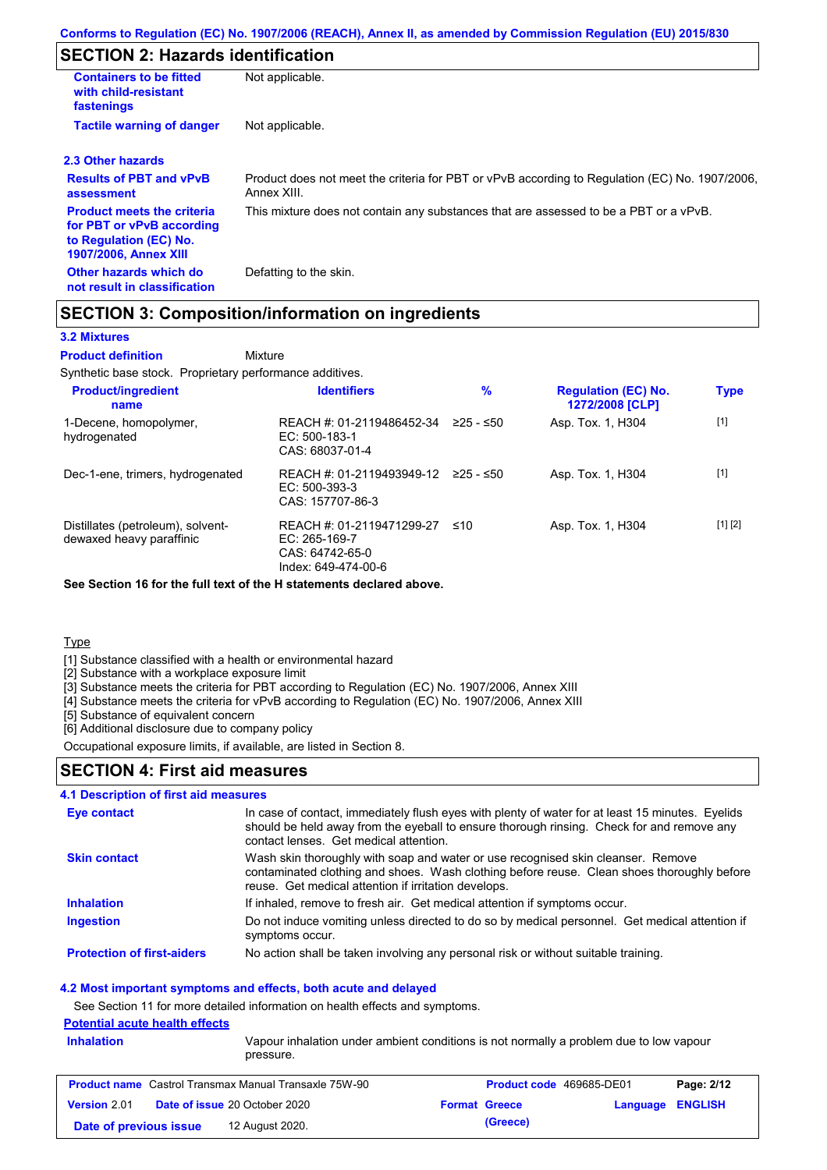# **SECTION 2: Hazards identification**

| <b>Containers to be fitted</b><br>with child-resistant<br>fastenings                                                     | Not applicable.                                                                                               |
|--------------------------------------------------------------------------------------------------------------------------|---------------------------------------------------------------------------------------------------------------|
| <b>Tactile warning of danger</b>                                                                                         | Not applicable.                                                                                               |
| 2.3 Other hazards                                                                                                        |                                                                                                               |
| <b>Results of PBT and vPvB</b><br>assessment                                                                             | Product does not meet the criteria for PBT or vPvB according to Regulation (EC) No. 1907/2006,<br>Annex XIII. |
| <b>Product meets the criteria</b><br>for PBT or vPvB according<br>to Regulation (EC) No.<br><b>1907/2006, Annex XIII</b> | This mixture does not contain any substances that are assessed to be a PBT or a vPvB.                         |
| Other hazards which do<br>not result in classification                                                                   | Defatting to the skin.                                                                                        |

## **SECTION 3: Composition/information on ingredients**

Mixture

#### **3.2 Mixtures**

**Product definition**

Synthetic base stock. Proprietary performance additives.

| <b>Product/ingredient</b><br>name                             | <b>Identifiers</b>                                                                   | $\%$        | <b>Regulation (EC) No.</b><br>1272/2008 [CLP] | <b>Type</b> |
|---------------------------------------------------------------|--------------------------------------------------------------------------------------|-------------|-----------------------------------------------|-------------|
| 1-Decene, homopolymer,<br>hydrogenated                        | REACH #: 01-2119486452-34<br>$EC: 500-183-1$<br>CAS: 68037-01-4                      | $≥25 - ≤50$ | Asp. Tox. 1, H304                             | $[1]$       |
| Dec-1-ene, trimers, hydrogenated                              | REACH #: 01-2119493949-12<br>EC: 500-393-3<br>CAS: 157707-86-3                       | 225 - ≤50   | Asp. Tox. 1, H304                             | $[1]$       |
| Distillates (petroleum), solvent-<br>dewaxed heavy paraffinic | REACH #: 01-2119471299-27<br>EC: 265-169-7<br>CAS: 64742-65-0<br>Index: 649-474-00-6 | ≤10         | Asp. Tox. 1, H304                             | [1] [2]     |

**See Section 16 for the full text of the H statements declared above.**

**Type** 

[1] Substance classified with a health or environmental hazard

[2] Substance with a workplace exposure limit

[3] Substance meets the criteria for PBT according to Regulation (EC) No. 1907/2006, Annex XIII

[4] Substance meets the criteria for vPvB according to Regulation (EC) No. 1907/2006, Annex XIII

[5] Substance of equivalent concern

[6] Additional disclosure due to company policy

Occupational exposure limits, if available, are listed in Section 8.

## **SECTION 4: First aid measures**

#### **4.1 Description of first aid measures**

| Eye contact                       | In case of contact, immediately flush eyes with plenty of water for at least 15 minutes. Eyelids<br>should be held away from the eyeball to ensure thorough rinsing. Check for and remove any<br>contact lenses. Get medical attention. |
|-----------------------------------|-----------------------------------------------------------------------------------------------------------------------------------------------------------------------------------------------------------------------------------------|
| <b>Skin contact</b>               | Wash skin thoroughly with soap and water or use recognised skin cleanser. Remove<br>contaminated clothing and shoes. Wash clothing before reuse. Clean shoes thoroughly before<br>reuse. Get medical attention if irritation develops.  |
| <b>Inhalation</b>                 | If inhaled, remove to fresh air. Get medical attention if symptoms occur.                                                                                                                                                               |
| Ingestion                         | Do not induce vomiting unless directed to do so by medical personnel. Get medical attention if<br>symptoms occur.                                                                                                                       |
| <b>Protection of first-aiders</b> | No action shall be taken involving any personal risk or without suitable training.                                                                                                                                                      |

#### **4.2 Most important symptoms and effects, both acute and delayed**

See Section 11 for more detailed information on health effects and symptoms.

### **Potential acute health effects**

**Inhalation** Vapour inhalation under ambient conditions is not normally a problem due to low vapour pressure.

| <b>Product name</b> Castrol Transmax Manual Transaxle 75W-90 |  | Product code 469685-DE01             |                      | Page: 2/12 |                  |  |
|--------------------------------------------------------------|--|--------------------------------------|----------------------|------------|------------------|--|
| Version 2.01                                                 |  | <b>Date of issue 20 October 2020</b> | <b>Format Greece</b> |            | Language ENGLISH |  |
| Date of previous issue                                       |  | 12 August 2020.                      |                      | (Greece)   |                  |  |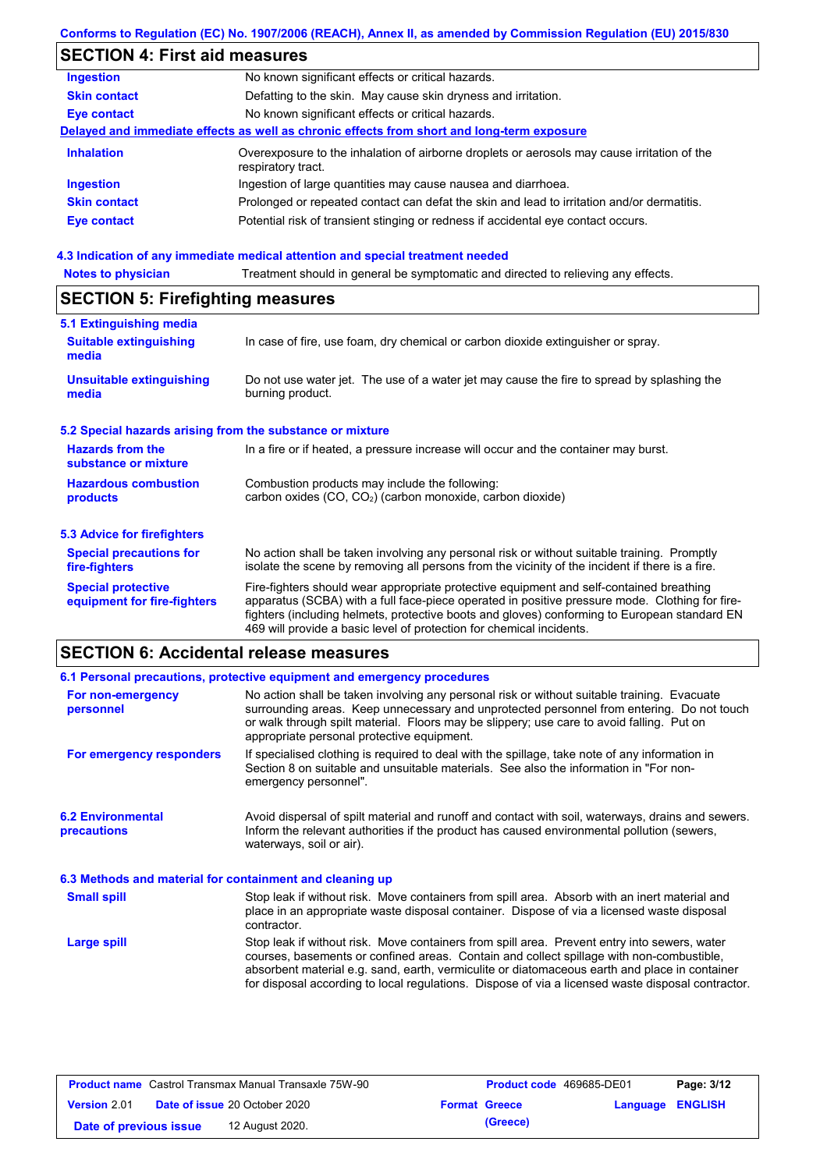# **SECTION 4: First aid measures**

| <b>Ingestion</b>    | No known significant effects or critical hazards.                                                                 |
|---------------------|-------------------------------------------------------------------------------------------------------------------|
| <b>Skin contact</b> | Defatting to the skin. May cause skin dryness and irritation.                                                     |
| <b>Eye contact</b>  | No known significant effects or critical hazards.                                                                 |
|                     | Delayed and immediate effects as well as chronic effects from short and long-term exposure                        |
| <b>Inhalation</b>   | Overexposure to the inhalation of airborne droplets or aerosols may cause irritation of the<br>respiratory tract. |
| <b>Ingestion</b>    | Ingestion of large quantities may cause nausea and diarrhoea.                                                     |
| <b>Skin contact</b> | Prolonged or repeated contact can defat the skin and lead to irritation and/or dermatitis.                        |
| <b>Eye contact</b>  | Potential risk of transient stinging or redness if accidental eye contact occurs.                                 |
|                     |                                                                                                                   |

### **4.3 Indication of any immediate medical attention and special treatment needed**

| <b>Notes to physician</b>                                         | Treatment should in general be symptomatic and directed to relieving any effects.                                                                                                                                                                                                                                                                                 |  |  |  |  |
|-------------------------------------------------------------------|-------------------------------------------------------------------------------------------------------------------------------------------------------------------------------------------------------------------------------------------------------------------------------------------------------------------------------------------------------------------|--|--|--|--|
|                                                                   | <b>SECTION 5: Firefighting measures</b>                                                                                                                                                                                                                                                                                                                           |  |  |  |  |
| 5.1 Extinguishing media<br><b>Suitable extinguishing</b><br>media | In case of fire, use foam, dry chemical or carbon dioxide extinguisher or spray.                                                                                                                                                                                                                                                                                  |  |  |  |  |
| <b>Unsuitable extinguishing</b><br>media                          | Do not use water jet. The use of a water jet may cause the fire to spread by splashing the<br>burning product.                                                                                                                                                                                                                                                    |  |  |  |  |
| 5.2 Special hazards arising from the substance or mixture         |                                                                                                                                                                                                                                                                                                                                                                   |  |  |  |  |
| <b>Hazards from the</b><br>substance or mixture                   | In a fire or if heated, a pressure increase will occur and the container may burst.                                                                                                                                                                                                                                                                               |  |  |  |  |
| <b>Hazardous combustion</b><br>products                           | Combustion products may include the following:<br>carbon oxides $(CO, CO2)$ (carbon monoxide, carbon dioxide)                                                                                                                                                                                                                                                     |  |  |  |  |
| 5.3 Advice for firefighters                                       |                                                                                                                                                                                                                                                                                                                                                                   |  |  |  |  |
| <b>Special precautions for</b><br>fire-fighters                   | No action shall be taken involving any personal risk or without suitable training. Promptly<br>isolate the scene by removing all persons from the vicinity of the incident if there is a fire.                                                                                                                                                                    |  |  |  |  |
| <b>Special protective</b><br>equipment for fire-fighters          | Fire-fighters should wear appropriate protective equipment and self-contained breathing<br>apparatus (SCBA) with a full face-piece operated in positive pressure mode. Clothing for fire-<br>fighters (including helmets, protective boots and gloves) conforming to European standard EN<br>469 will provide a basic level of protection for chemical incidents. |  |  |  |  |

# **SECTION 6: Accidental release measures**

|                                                          | 6.1 Personal precautions, protective equipment and emergency procedures                                                                                                                                                                                                                                                                                                                        |
|----------------------------------------------------------|------------------------------------------------------------------------------------------------------------------------------------------------------------------------------------------------------------------------------------------------------------------------------------------------------------------------------------------------------------------------------------------------|
| For non-emergency<br>personnel                           | No action shall be taken involving any personal risk or without suitable training. Evacuate<br>surrounding areas. Keep unnecessary and unprotected personnel from entering. Do not touch<br>or walk through spilt material. Floors may be slippery; use care to avoid falling. Put on<br>appropriate personal protective equipment.                                                            |
| For emergency responders                                 | If specialised clothing is required to deal with the spillage, take note of any information in<br>Section 8 on suitable and unsuitable materials. See also the information in "For non-<br>emergency personnel".                                                                                                                                                                               |
| <b>6.2 Environmental</b><br><b>precautions</b>           | Avoid dispersal of spilt material and runoff and contact with soil, waterways, drains and sewers.<br>Inform the relevant authorities if the product has caused environmental pollution (sewers,<br>waterways, soil or air).                                                                                                                                                                    |
| 6.3 Methods and material for containment and cleaning up |                                                                                                                                                                                                                                                                                                                                                                                                |
| <b>Small spill</b>                                       | Stop leak if without risk. Move containers from spill area. Absorb with an inert material and<br>place in an appropriate waste disposal container. Dispose of via a licensed waste disposal<br>contractor.                                                                                                                                                                                     |
| Large spill                                              | Stop leak if without risk. Move containers from spill area. Prevent entry into sewers, water<br>courses, basements or confined areas. Contain and collect spillage with non-combustible.<br>absorbent material e.g. sand, earth, vermiculite or diatomaceous earth and place in container<br>for disposal according to local regulations. Dispose of via a licensed waste disposal contractor. |

| <b>Product name</b> Castrol Transmax Manual Transaxle 75W-90 |  | <b>Product code</b> 469685-DE01      |  | Page: 3/12           |                         |  |
|--------------------------------------------------------------|--|--------------------------------------|--|----------------------|-------------------------|--|
| Version 2.01                                                 |  | <b>Date of issue 20 October 2020</b> |  | <b>Format Greece</b> | <b>Language ENGLISH</b> |  |
| Date of previous issue                                       |  | 12 August 2020.                      |  | (Greece)             |                         |  |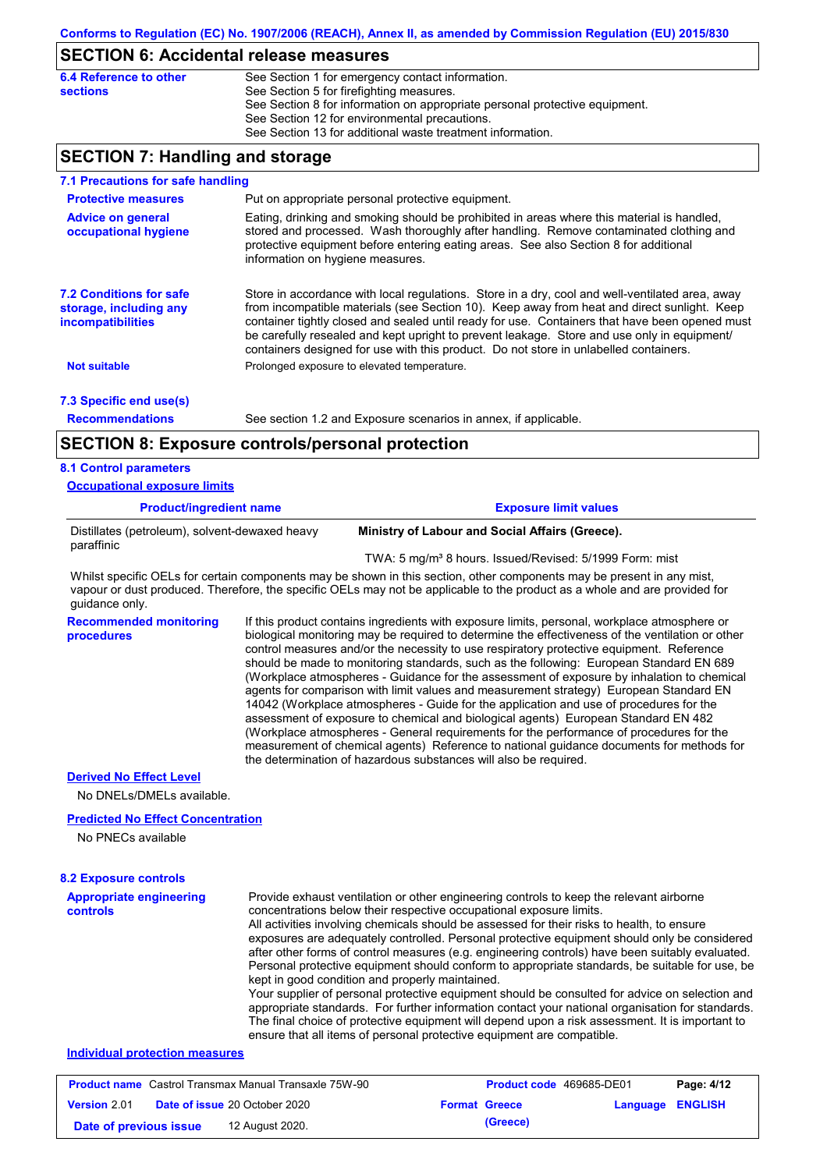## **SECTION 6: Accidental release measures**

| 6.4 Reference to other | See Section 1 for emergency contact information.                            |
|------------------------|-----------------------------------------------------------------------------|
| sections               | See Section 5 for firefighting measures.                                    |
|                        | See Section 8 for information on appropriate personal protective equipment. |
|                        | See Section 12 for environmental precautions.                               |
|                        | See Section 13 for additional waste treatment information.                  |

## **SECTION 7: Handling and storage**

| 7.1 Precautions for safe handling                                                    |                                  |                                                                                                                                                                                                                                                                                                                                                                                                                                                                                          |
|--------------------------------------------------------------------------------------|----------------------------------|------------------------------------------------------------------------------------------------------------------------------------------------------------------------------------------------------------------------------------------------------------------------------------------------------------------------------------------------------------------------------------------------------------------------------------------------------------------------------------------|
| <b>Protective measures</b>                                                           |                                  | Put on appropriate personal protective equipment.                                                                                                                                                                                                                                                                                                                                                                                                                                        |
| <b>Advice on general</b><br>occupational hygiene                                     | information on hygiene measures. | Eating, drinking and smoking should be prohibited in areas where this material is handled,<br>stored and processed. Wash thoroughly after handling. Remove contaminated clothing and<br>protective equipment before entering eating areas. See also Section 8 for additional                                                                                                                                                                                                             |
| <b>7.2 Conditions for safe</b><br>storage, including any<br><i>incompatibilities</i> |                                  | Store in accordance with local regulations. Store in a dry, cool and well-ventilated area, away<br>from incompatible materials (see Section 10). Keep away from heat and direct sunlight. Keep<br>container tightly closed and sealed until ready for use. Containers that have been opened must<br>be carefully resealed and kept upright to prevent leakage. Store and use only in equipment/<br>containers designed for use with this product. Do not store in unlabelled containers. |
| <b>Not suitable</b>                                                                  |                                  | Prolonged exposure to elevated temperature.                                                                                                                                                                                                                                                                                                                                                                                                                                              |
| 7.3 Specific end use(s)                                                              |                                  |                                                                                                                                                                                                                                                                                                                                                                                                                                                                                          |
| <b>Recommendations</b>                                                               |                                  | See section 1.2 and Exposure scenarios in annex, if applicable.                                                                                                                                                                                                                                                                                                                                                                                                                          |
| <b>SECTION 8: Exposure controls/personal protection</b>                              |                                  |                                                                                                                                                                                                                                                                                                                                                                                                                                                                                          |
| <b>8.1 Control parameters</b>                                                        |                                  |                                                                                                                                                                                                                                                                                                                                                                                                                                                                                          |
| <b>Occupational exposure limits</b>                                                  |                                  |                                                                                                                                                                                                                                                                                                                                                                                                                                                                                          |
| <b>Product/ingredient name</b>                                                       |                                  | <b>Exposure limit values</b>                                                                                                                                                                                                                                                                                                                                                                                                                                                             |
| Distillates (petroleum), solvent-dewaxed heavy                                       |                                  | Ministry of Labour and Social Affairs (Greece).                                                                                                                                                                                                                                                                                                                                                                                                                                          |

Distillates (petroleum), solvent-dewaxed heavy paraffinic

TWA: 5 mg/m³ 8 hours. Issued/Revised: 5/1999 Form: mist

Whilst specific OELs for certain components may be shown in this section, other components may be present in any mist, vapour or dust produced. Therefore, the specific OELs may not be applicable to the product as a whole and are provided for guidance only.

**Recommended monitoring**  If this product contains ingredients with exposure limits, personal, workplace atmosphere or biological monitoring may be required to determine the effectiveness of the ventilation or other control measures and/or the necessity to use respiratory protective equipment. Reference should be made to monitoring standards, such as the following: European Standard EN 689 (Workplace atmospheres - Guidance for the assessment of exposure by inhalation to chemical agents for comparison with limit values and measurement strategy) European Standard EN 14042 (Workplace atmospheres - Guide for the application and use of procedures for the assessment of exposure to chemical and biological agents) European Standard EN 482 (Workplace atmospheres - General requirements for the performance of procedures for the measurement of chemical agents) Reference to national guidance documents for methods for the determination of hazardous substances will also be required.

#### **Derived No Effect Level**

**procedures**

No DNELs/DMELs available.

#### **Predicted No Effect Concentration**

No PNECs available

| <b>8.2 Exposure controls</b>               |                                                                                                                                                                                                                                                                                                                                                                                                                                                                                                                                                                                                                                                                                                                                                                                                                                                                                                                                                                                                         |
|--------------------------------------------|---------------------------------------------------------------------------------------------------------------------------------------------------------------------------------------------------------------------------------------------------------------------------------------------------------------------------------------------------------------------------------------------------------------------------------------------------------------------------------------------------------------------------------------------------------------------------------------------------------------------------------------------------------------------------------------------------------------------------------------------------------------------------------------------------------------------------------------------------------------------------------------------------------------------------------------------------------------------------------------------------------|
| <b>Appropriate engineering</b><br>controls | Provide exhaust ventilation or other engineering controls to keep the relevant airborne<br>concentrations below their respective occupational exposure limits.<br>All activities involving chemicals should be assessed for their risks to health, to ensure<br>exposures are adequately controlled. Personal protective equipment should only be considered<br>after other forms of control measures (e.g. engineering controls) have been suitably evaluated.<br>Personal protective equipment should conform to appropriate standards, be suitable for use, be<br>kept in good condition and properly maintained.<br>Your supplier of personal protective equipment should be consulted for advice on selection and<br>appropriate standards. For further information contact your national organisation for standards.<br>The final choice of protective equipment will depend upon a risk assessment. It is important to<br>ensure that all items of personal protective equipment are compatible. |
| Individual protection measures             |                                                                                                                                                                                                                                                                                                                                                                                                                                                                                                                                                                                                                                                                                                                                                                                                                                                                                                                                                                                                         |

| <b>Product name</b> Castrol Transmax Manual Transaxle 75W-90 |  |                                      | <b>Product code</b> 469685-DE01 |                      | Page: 4/12              |  |
|--------------------------------------------------------------|--|--------------------------------------|---------------------------------|----------------------|-------------------------|--|
| <b>Version 2.01</b>                                          |  | <b>Date of issue 20 October 2020</b> |                                 | <b>Format Greece</b> | <b>Language ENGLISH</b> |  |
| Date of previous issue                                       |  | 12 August 2020.                      |                                 | (Greece)             |                         |  |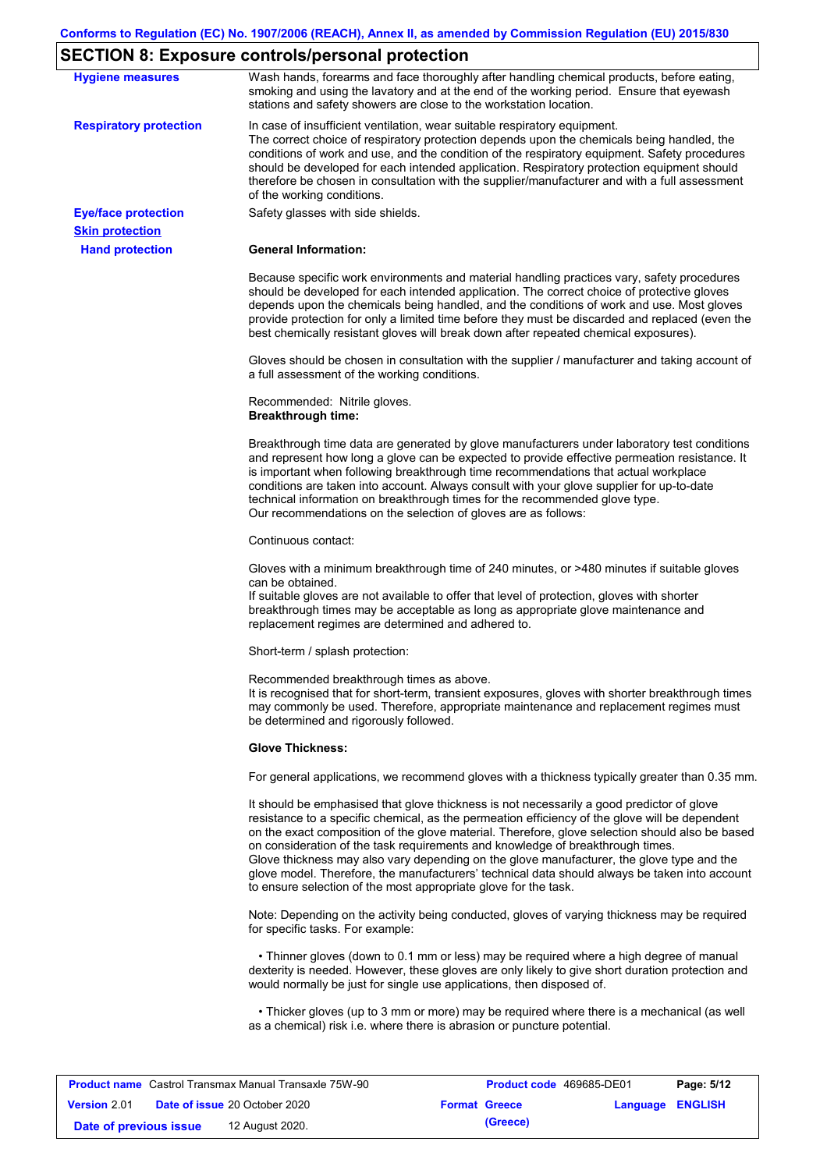# **SECTION 8: Exposure controls/personal protection**

|                               | LOTION 0. Exposure controls/personal protection                                                                                                                                                                                                                                                                                                                                                                                                                                                                                                                                                                                                   |
|-------------------------------|---------------------------------------------------------------------------------------------------------------------------------------------------------------------------------------------------------------------------------------------------------------------------------------------------------------------------------------------------------------------------------------------------------------------------------------------------------------------------------------------------------------------------------------------------------------------------------------------------------------------------------------------------|
| <b>Hygiene measures</b>       | Wash hands, forearms and face thoroughly after handling chemical products, before eating,<br>smoking and using the lavatory and at the end of the working period. Ensure that eyewash<br>stations and safety showers are close to the workstation location.                                                                                                                                                                                                                                                                                                                                                                                       |
| <b>Respiratory protection</b> | In case of insufficient ventilation, wear suitable respiratory equipment.<br>The correct choice of respiratory protection depends upon the chemicals being handled, the<br>conditions of work and use, and the condition of the respiratory equipment. Safety procedures<br>should be developed for each intended application. Respiratory protection equipment should<br>therefore be chosen in consultation with the supplier/manufacturer and with a full assessment<br>of the working conditions.                                                                                                                                             |
| <b>Eye/face protection</b>    | Safety glasses with side shields.                                                                                                                                                                                                                                                                                                                                                                                                                                                                                                                                                                                                                 |
| <b>Skin protection</b>        |                                                                                                                                                                                                                                                                                                                                                                                                                                                                                                                                                                                                                                                   |
| <b>Hand protection</b>        | <b>General Information:</b>                                                                                                                                                                                                                                                                                                                                                                                                                                                                                                                                                                                                                       |
|                               | Because specific work environments and material handling practices vary, safety procedures<br>should be developed for each intended application. The correct choice of protective gloves<br>depends upon the chemicals being handled, and the conditions of work and use. Most gloves<br>provide protection for only a limited time before they must be discarded and replaced (even the<br>best chemically resistant gloves will break down after repeated chemical exposures).                                                                                                                                                                  |
|                               | Gloves should be chosen in consultation with the supplier / manufacturer and taking account of<br>a full assessment of the working conditions.                                                                                                                                                                                                                                                                                                                                                                                                                                                                                                    |
|                               | Recommended: Nitrile gloves.<br><b>Breakthrough time:</b>                                                                                                                                                                                                                                                                                                                                                                                                                                                                                                                                                                                         |
|                               | Breakthrough time data are generated by glove manufacturers under laboratory test conditions<br>and represent how long a glove can be expected to provide effective permeation resistance. It<br>is important when following breakthrough time recommendations that actual workplace<br>conditions are taken into account. Always consult with your glove supplier for up-to-date<br>technical information on breakthrough times for the recommended glove type.<br>Our recommendations on the selection of gloves are as follows:                                                                                                                |
|                               | Continuous contact:                                                                                                                                                                                                                                                                                                                                                                                                                                                                                                                                                                                                                               |
|                               | Gloves with a minimum breakthrough time of 240 minutes, or >480 minutes if suitable gloves<br>can be obtained.<br>If suitable gloves are not available to offer that level of protection, gloves with shorter<br>breakthrough times may be acceptable as long as appropriate glove maintenance and<br>replacement regimes are determined and adhered to.                                                                                                                                                                                                                                                                                          |
|                               | Short-term / splash protection:                                                                                                                                                                                                                                                                                                                                                                                                                                                                                                                                                                                                                   |
|                               | Recommended breakthrough times as above.<br>It is recognised that for short-term, transient exposures, gloves with shorter breakthrough times<br>may commonly be used. Therefore, appropriate maintenance and replacement regimes must<br>be determined and rigorously followed.                                                                                                                                                                                                                                                                                                                                                                  |
|                               | <b>Glove Thickness:</b>                                                                                                                                                                                                                                                                                                                                                                                                                                                                                                                                                                                                                           |
|                               | For general applications, we recommend gloves with a thickness typically greater than 0.35 mm.                                                                                                                                                                                                                                                                                                                                                                                                                                                                                                                                                    |
|                               | It should be emphasised that glove thickness is not necessarily a good predictor of glove<br>resistance to a specific chemical, as the permeation efficiency of the glove will be dependent<br>on the exact composition of the glove material. Therefore, glove selection should also be based<br>on consideration of the task requirements and knowledge of breakthrough times.<br>Glove thickness may also vary depending on the glove manufacturer, the glove type and the<br>glove model. Therefore, the manufacturers' technical data should always be taken into account<br>to ensure selection of the most appropriate glove for the task. |
|                               | Note: Depending on the activity being conducted, gloves of varying thickness may be required<br>for specific tasks. For example:                                                                                                                                                                                                                                                                                                                                                                                                                                                                                                                  |
|                               | • Thinner gloves (down to 0.1 mm or less) may be required where a high degree of manual<br>dexterity is needed. However, these gloves are only likely to give short duration protection and<br>would normally be just for single use applications, then disposed of.                                                                                                                                                                                                                                                                                                                                                                              |
|                               | • Thicker gloves (up to 3 mm or more) may be required where there is a mechanical (as well<br>as a chemical) risk i.e. where there is abrasion or puncture potential.                                                                                                                                                                                                                                                                                                                                                                                                                                                                             |

| <b>Product name</b> Castrol Transmax Manual Transaxle 75W-90 |  |                                      | Product code 469685-DE01 |                      | Page: 5/12              |  |
|--------------------------------------------------------------|--|--------------------------------------|--------------------------|----------------------|-------------------------|--|
| <b>Version 2.01</b>                                          |  | <b>Date of issue 20 October 2020</b> |                          | <b>Format Greece</b> | <b>Language ENGLISH</b> |  |
| Date of previous issue                                       |  | 12 August 2020.                      |                          | (Greece)             |                         |  |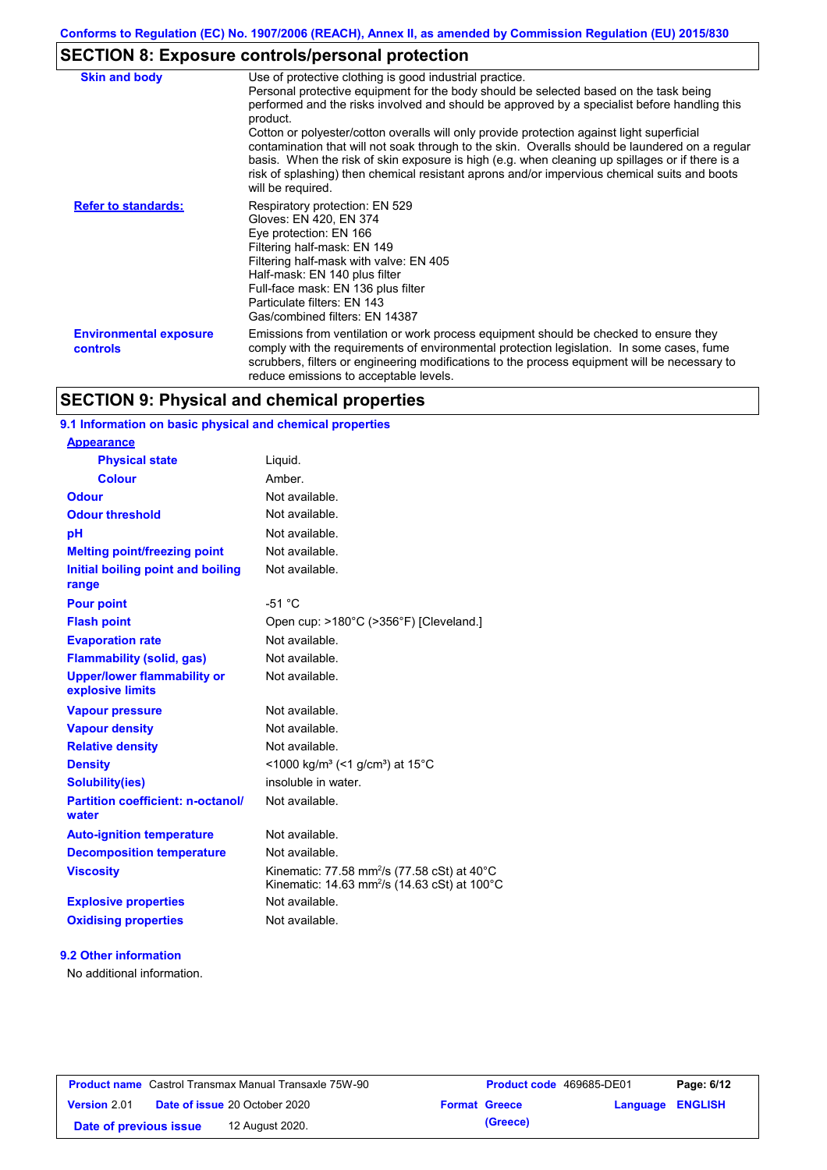# **SECTION 8: Exposure controls/personal protection**

| <b>Skin and body</b>                             | Use of protective clothing is good industrial practice.<br>Personal protective equipment for the body should be selected based on the task being<br>performed and the risks involved and should be approved by a specialist before handling this<br>product.<br>Cotton or polyester/cotton overalls will only provide protection against light superficial<br>contamination that will not soak through to the skin. Overalls should be laundered on a regular<br>basis. When the risk of skin exposure is high (e.g. when cleaning up spillages or if there is a<br>risk of splashing) then chemical resistant aprons and/or impervious chemical suits and boots<br>will be required. |
|--------------------------------------------------|---------------------------------------------------------------------------------------------------------------------------------------------------------------------------------------------------------------------------------------------------------------------------------------------------------------------------------------------------------------------------------------------------------------------------------------------------------------------------------------------------------------------------------------------------------------------------------------------------------------------------------------------------------------------------------------|
| <b>Refer to standards:</b>                       | Respiratory protection: EN 529<br>Gloves: EN 420, EN 374<br>Eye protection: EN 166<br>Filtering half-mask: EN 149<br>Filtering half-mask with valve: EN 405<br>Half-mask: EN 140 plus filter<br>Full-face mask: EN 136 plus filter<br>Particulate filters: EN 143<br>Gas/combined filters: EN 14387                                                                                                                                                                                                                                                                                                                                                                                   |
| <b>Environmental exposure</b><br><b>controls</b> | Emissions from ventilation or work process equipment should be checked to ensure they<br>comply with the requirements of environmental protection legislation. In some cases, fume<br>scrubbers, filters or engineering modifications to the process equipment will be necessary to<br>reduce emissions to acceptable levels.                                                                                                                                                                                                                                                                                                                                                         |

## **SECTION 9: Physical and chemical properties**

### **9.1 Information on basic physical and chemical properties**

| <b>Appearance</b>                                      |                                                                                                                                |
|--------------------------------------------------------|--------------------------------------------------------------------------------------------------------------------------------|
| <b>Physical state</b>                                  | Liquid.                                                                                                                        |
| <b>Colour</b>                                          | Amber.                                                                                                                         |
| <b>Odour</b>                                           | Not available.                                                                                                                 |
| <b>Odour threshold</b>                                 | Not available.                                                                                                                 |
| pH                                                     | Not available.                                                                                                                 |
| <b>Melting point/freezing point</b>                    | Not available.                                                                                                                 |
| Initial boiling point and boiling<br>range             | Not available.                                                                                                                 |
| <b>Pour point</b>                                      | $-51 °C$                                                                                                                       |
| <b>Flash point</b>                                     | Open cup: >180°C (>356°F) [Cleveland.]                                                                                         |
| <b>Evaporation rate</b>                                | Not available.                                                                                                                 |
| <b>Flammability (solid, gas)</b>                       | Not available.                                                                                                                 |
| <b>Upper/lower flammability or</b><br>explosive limits | Not available.                                                                                                                 |
| <b>Vapour pressure</b>                                 | Not available.                                                                                                                 |
| <b>Vapour density</b>                                  | Not available.                                                                                                                 |
| <b>Relative density</b>                                | Not available.                                                                                                                 |
| <b>Density</b>                                         | <1000 kg/m <sup>3</sup> (<1 g/cm <sup>3</sup> ) at 15 <sup>°</sup> C                                                           |
| <b>Solubility(ies)</b>                                 | insoluble in water.                                                                                                            |
| <b>Partition coefficient: n-octanol/</b><br>water      | Not available.                                                                                                                 |
| <b>Auto-ignition temperature</b>                       | Not available.                                                                                                                 |
| <b>Decomposition temperature</b>                       | Not available.                                                                                                                 |
| <b>Viscosity</b>                                       | Kinematic: 77.58 mm <sup>2</sup> /s (77.58 cSt) at 40 $^{\circ}$ C<br>Kinematic: 14.63 mm <sup>2</sup> /s (14.63 cSt) at 100°C |
| <b>Explosive properties</b>                            | Not available.                                                                                                                 |
| <b>Oxidising properties</b>                            | Not available.                                                                                                                 |
|                                                        |                                                                                                                                |

#### **9.2 Other information**

No additional information.

| <b>Product name</b> Castrol Transmax Manual Transaxle 75W-90 |  |                                      | <b>Product code</b> 469685-DE01 |                      | Page: 6/12       |  |
|--------------------------------------------------------------|--|--------------------------------------|---------------------------------|----------------------|------------------|--|
| <b>Version 2.01</b>                                          |  | <b>Date of issue 20 October 2020</b> |                                 | <b>Format Greece</b> | Language ENGLISH |  |
| Date of previous issue                                       |  | 12 August 2020.                      |                                 | (Greece)             |                  |  |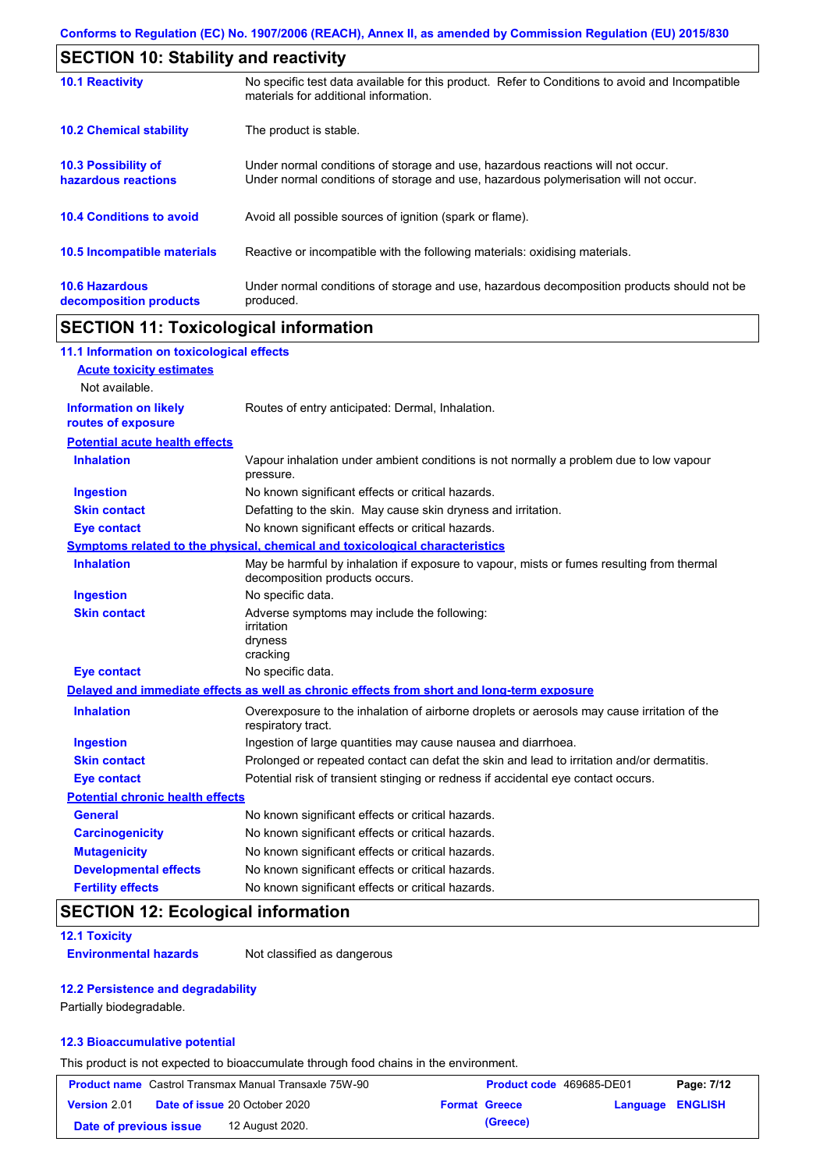| <b>SECTION 10: Stability and reactivity</b>     |                                                                                                                                                                         |
|-------------------------------------------------|-------------------------------------------------------------------------------------------------------------------------------------------------------------------------|
| <b>10.1 Reactivity</b>                          | No specific test data available for this product. Refer to Conditions to avoid and Incompatible<br>materials for additional information.                                |
| <b>10.2 Chemical stability</b>                  | The product is stable.                                                                                                                                                  |
| 10.3 Possibility of<br>hazardous reactions      | Under normal conditions of storage and use, hazardous reactions will not occur.<br>Under normal conditions of storage and use, hazardous polymerisation will not occur. |
| <b>10.4 Conditions to avoid</b>                 | Avoid all possible sources of ignition (spark or flame).                                                                                                                |
| <b>10.5 Incompatible materials</b>              | Reactive or incompatible with the following materials: oxidising materials.                                                                                             |
| <b>10.6 Hazardous</b><br>decomposition products | Under normal conditions of storage and use, hazardous decomposition products should not be<br>produced.                                                                 |

# **SECTION 11: Toxicological information**

| 11.1 Information on toxicological effects          |                                                                                                                             |
|----------------------------------------------------|-----------------------------------------------------------------------------------------------------------------------------|
| <b>Acute toxicity estimates</b>                    |                                                                                                                             |
| Not available.                                     |                                                                                                                             |
| <b>Information on likely</b><br>routes of exposure | Routes of entry anticipated: Dermal, Inhalation.                                                                            |
| <b>Potential acute health effects</b>              |                                                                                                                             |
| <b>Inhalation</b>                                  | Vapour inhalation under ambient conditions is not normally a problem due to low vapour<br>pressure.                         |
| <b>Ingestion</b>                                   | No known significant effects or critical hazards.                                                                           |
| <b>Skin contact</b>                                | Defatting to the skin. May cause skin dryness and irritation.                                                               |
| <b>Eye contact</b>                                 | No known significant effects or critical hazards.                                                                           |
|                                                    | Symptoms related to the physical, chemical and toxicological characteristics                                                |
| <b>Inhalation</b>                                  | May be harmful by inhalation if exposure to vapour, mists or fumes resulting from thermal<br>decomposition products occurs. |
| <b>Ingestion</b>                                   | No specific data.                                                                                                           |
| <b>Skin contact</b>                                | Adverse symptoms may include the following:<br>irritation<br>dryness<br>cracking                                            |
| <b>Eye contact</b>                                 | No specific data.                                                                                                           |
|                                                    | Delayed and immediate effects as well as chronic effects from short and long-term exposure                                  |
| <b>Inhalation</b>                                  | Overexposure to the inhalation of airborne droplets or aerosols may cause irritation of the<br>respiratory tract.           |
| <b>Ingestion</b>                                   | Ingestion of large quantities may cause nausea and diarrhoea.                                                               |
| <b>Skin contact</b>                                | Prolonged or repeated contact can defat the skin and lead to irritation and/or dermatitis.                                  |
| <b>Eye contact</b>                                 | Potential risk of transient stinging or redness if accidental eye contact occurs.                                           |
| <b>Potential chronic health effects</b>            |                                                                                                                             |
| <b>General</b>                                     | No known significant effects or critical hazards.                                                                           |
| <b>Carcinogenicity</b>                             | No known significant effects or critical hazards.                                                                           |
| <b>Mutagenicity</b>                                | No known significant effects or critical hazards.                                                                           |
| <b>Developmental effects</b>                       | No known significant effects or critical hazards.                                                                           |
| <b>Fertility effects</b>                           | No known significant effects or critical hazards.                                                                           |

# **SECTION 12: Ecological information**

#### **12.1 Toxicity**

**Environmental hazards** Not classified as dangerous

#### **12.2 Persistence and degradability**

Partially biodegradable.

#### **12.3 Bioaccumulative potential**

This product is not expected to bioaccumulate through food chains in the environment.

| <b>Product name</b> Castrol Transmax Manual Transaxle 75W-90 |  | Product code 469685-DE01             |                      | Page: 7/12 |                  |  |
|--------------------------------------------------------------|--|--------------------------------------|----------------------|------------|------------------|--|
| <b>Version 2.01</b>                                          |  | <b>Date of issue 20 October 2020</b> | <b>Format Greece</b> |            | Language ENGLISH |  |
| Date of previous issue                                       |  | 12 August 2020.                      |                      | (Greece)   |                  |  |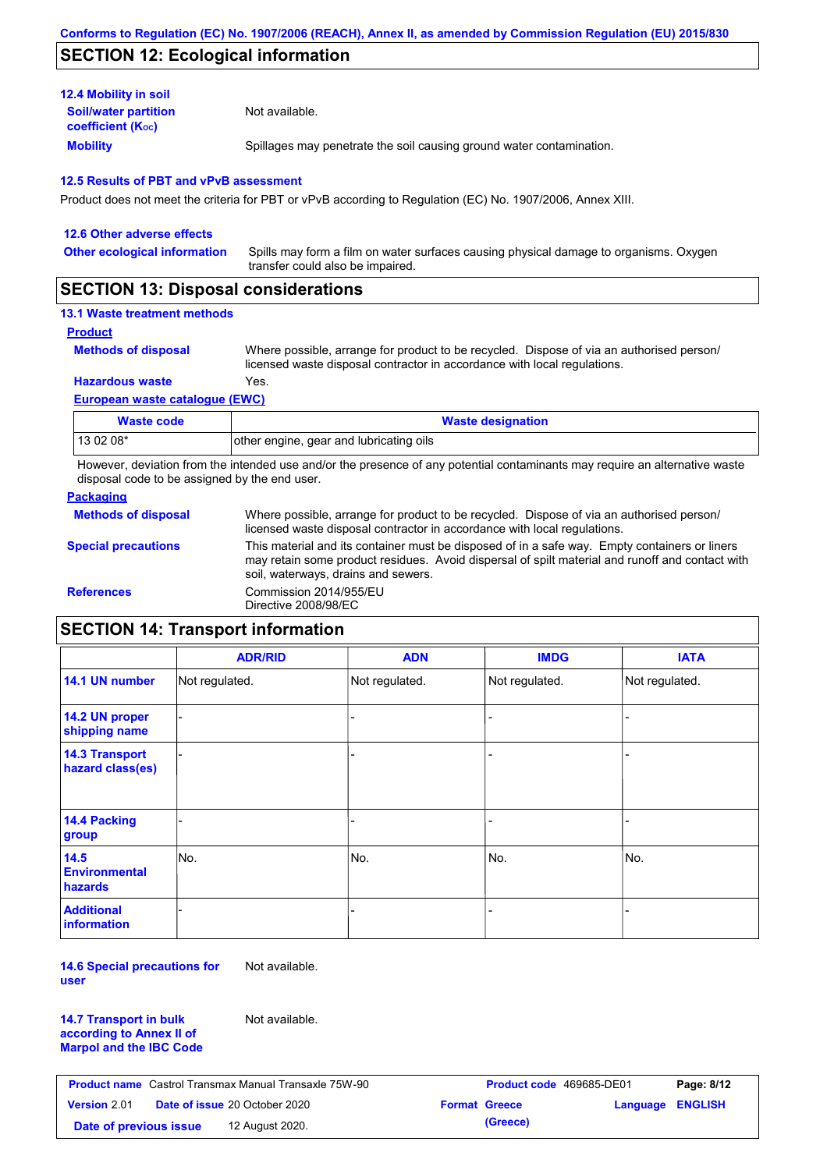## **SECTION 12: Ecological information**

| <b>12.4 Mobility in soil</b>                            |                                                                      |
|---------------------------------------------------------|----------------------------------------------------------------------|
| <b>Soil/water partition</b><br><b>coefficient (Koc)</b> | Not available.                                                       |
| <b>Mobility</b>                                         | Spillages may penetrate the soil causing ground water contamination. |

#### **12.5 Results of PBT and vPvB assessment**

Product does not meet the criteria for PBT or vPvB according to Regulation (EC) No. 1907/2006, Annex XIII.

| 12.6 Other adverse effects          |                                                                                                                           |
|-------------------------------------|---------------------------------------------------------------------------------------------------------------------------|
| <b>Other ecological information</b> | Spills may form a film on water surfaces causing physical damage to organisms. Oxygen<br>transfer could also be impaired. |
|                                     |                                                                                                                           |

## **SECTION 13: Disposal considerations**

## **13.1 Waste treatment methods**

**Product**

```
Methods of disposal
```
Where possible, arrange for product to be recycled. Dispose of via an authorised person/ licensed waste disposal contractor in accordance with local regulations.

**Hazardous waste** Yes.

#### **European waste catalogue (EWC)**

| Waste code | <b>Waste designation</b>                |
|------------|-----------------------------------------|
| 13 02 08*  | other engine, gear and lubricating oils |

However, deviation from the intended use and/or the presence of any potential contaminants may require an alternative waste disposal code to be assigned by the end user.

#### **Packaging**

| <b>Methods of disposal</b> | Where possible, arrange for product to be recycled. Dispose of via an authorised person/<br>licensed waste disposal contractor in accordance with local regulations.                                                                    |
|----------------------------|-----------------------------------------------------------------------------------------------------------------------------------------------------------------------------------------------------------------------------------------|
| <b>Special precautions</b> | This material and its container must be disposed of in a safe way. Empty containers or liners<br>may retain some product residues. Avoid dispersal of spilt material and runoff and contact with<br>soil, waterways, drains and sewers. |
| <b>References</b>          | Commission 2014/955/EU<br>Directive 2008/98/EC                                                                                                                                                                                          |

# **SECTION 14: Transport information**

|                                                | <b>ADR/RID</b> | <b>ADN</b>     | <b>IMDG</b>    | <b>IATA</b>    |
|------------------------------------------------|----------------|----------------|----------------|----------------|
| 14.1 UN number                                 | Not regulated. | Not regulated. | Not regulated. | Not regulated. |
| 14.2 UN proper<br>shipping name                |                |                |                |                |
| <b>14.3 Transport</b><br>hazard class(es)      |                |                |                |                |
| 14.4 Packing<br>group                          |                |                |                |                |
| 14.5<br><b>Environmental</b><br><b>hazards</b> | No.            | No.            | No.            | No.            |
| <b>Additional</b><br><b>information</b>        |                |                |                |                |

**14.6 Special precautions for user** Not available.

**14.7 Transport in bulk according to Annex II of Marpol and the IBC Code** Not available.

|                        | <b>Product name</b> Castrol Transmax Manual Transaxle 75W-90 | <b>Product code</b> 469685-DE01 |                  | Page: 8/12 |
|------------------------|--------------------------------------------------------------|---------------------------------|------------------|------------|
| Version 2.01           | <b>Date of issue 20 October 2020</b>                         | <b>Format Greece</b>            | Language ENGLISH |            |
| Date of previous issue | 12 August 2020.                                              | (Greece)                        |                  |            |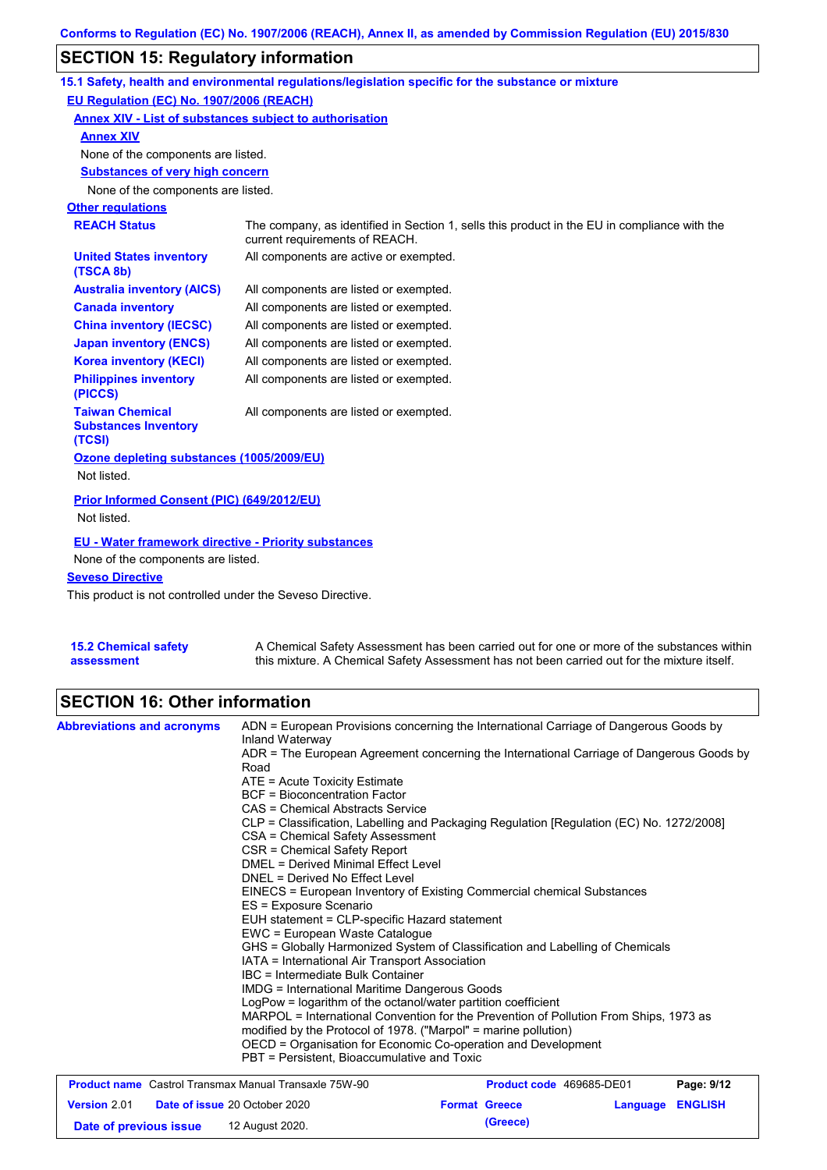# **SECTION 15: Regulatory information**

|                                                                 | 15.1 Safety, health and environmental regulations/legislation specific for the substance or mixture                            |
|-----------------------------------------------------------------|--------------------------------------------------------------------------------------------------------------------------------|
| EU Regulation (EC) No. 1907/2006 (REACH)                        |                                                                                                                                |
| Annex XIV - List of substances subject to authorisation         |                                                                                                                                |
| <b>Annex XIV</b>                                                |                                                                                                                                |
| None of the components are listed.                              |                                                                                                                                |
| <b>Substances of very high concern</b>                          |                                                                                                                                |
| None of the components are listed.                              |                                                                                                                                |
| <b>Other regulations</b>                                        |                                                                                                                                |
| <b>REACH Status</b>                                             | The company, as identified in Section 1, sells this product in the EU in compliance with the<br>current requirements of REACH. |
| <b>United States inventory</b><br>(TSCA 8b)                     | All components are active or exempted.                                                                                         |
| <b>Australia inventory (AICS)</b>                               | All components are listed or exempted.                                                                                         |
| <b>Canada inventory</b>                                         | All components are listed or exempted.                                                                                         |
| <b>China inventory (IECSC)</b>                                  | All components are listed or exempted.                                                                                         |
| <b>Japan inventory (ENCS)</b>                                   | All components are listed or exempted.                                                                                         |
| <b>Korea inventory (KECI)</b>                                   | All components are listed or exempted.                                                                                         |
| <b>Philippines inventory</b><br>(PICCS)                         | All components are listed or exempted.                                                                                         |
| <b>Taiwan Chemical</b><br><b>Substances Inventory</b><br>(TCSI) | All components are listed or exempted.                                                                                         |
| Ozone depleting substances (1005/2009/EU)                       |                                                                                                                                |
| Not listed.                                                     |                                                                                                                                |
| Prior Informed Consent (PIC) (649/2012/EU)<br>Not listed.       |                                                                                                                                |
|                                                                 |                                                                                                                                |
| <b>EU - Water framework directive - Priority substances</b>     |                                                                                                                                |
| None of the components are listed.                              |                                                                                                                                |
| <b>Seveso Directive</b>                                         |                                                                                                                                |

This product is not controlled under the Seveso Directive.

| <b>15.2 Chemical safety</b> | A Chemical Safety Assessment has been carried out for one or more of the substances within  |
|-----------------------------|---------------------------------------------------------------------------------------------|
| assessment                  | this mixture. A Chemical Safety Assessment has not been carried out for the mixture itself. |

# **SECTION 16: Other information**

| <b>Abbreviations and acronyms</b>                            | ADN = European Provisions concerning the International Carriage of Dangerous Goods by<br>Inland Waterway                                                                                                                                                                                               |  |  |  |  |  |
|--------------------------------------------------------------|--------------------------------------------------------------------------------------------------------------------------------------------------------------------------------------------------------------------------------------------------------------------------------------------------------|--|--|--|--|--|
|                                                              | ADR = The European Agreement concerning the International Carriage of Dangerous Goods by<br>Road                                                                                                                                                                                                       |  |  |  |  |  |
|                                                              | $ATE = Acute Toxicity Estimate$                                                                                                                                                                                                                                                                        |  |  |  |  |  |
|                                                              | <b>BCF</b> = Bioconcentration Factor                                                                                                                                                                                                                                                                   |  |  |  |  |  |
|                                                              | CAS = Chemical Abstracts Service                                                                                                                                                                                                                                                                       |  |  |  |  |  |
|                                                              | CLP = Classification, Labelling and Packaging Regulation [Regulation (EC) No. 1272/2008]                                                                                                                                                                                                               |  |  |  |  |  |
|                                                              | CSA = Chemical Safety Assessment                                                                                                                                                                                                                                                                       |  |  |  |  |  |
|                                                              | CSR = Chemical Safety Report                                                                                                                                                                                                                                                                           |  |  |  |  |  |
|                                                              | DMEL = Derived Minimal Effect Level                                                                                                                                                                                                                                                                    |  |  |  |  |  |
|                                                              | DNEL = Derived No Effect Level<br>EINECS = European Inventory of Existing Commercial chemical Substances<br>ES = Exposure Scenario<br>EUH statement = CLP-specific Hazard statement<br>EWC = European Waste Catalogue<br>GHS = Globally Harmonized System of Classification and Labelling of Chemicals |  |  |  |  |  |
|                                                              |                                                                                                                                                                                                                                                                                                        |  |  |  |  |  |
|                                                              |                                                                                                                                                                                                                                                                                                        |  |  |  |  |  |
|                                                              |                                                                                                                                                                                                                                                                                                        |  |  |  |  |  |
|                                                              |                                                                                                                                                                                                                                                                                                        |  |  |  |  |  |
|                                                              |                                                                                                                                                                                                                                                                                                        |  |  |  |  |  |
|                                                              | IATA = International Air Transport Association                                                                                                                                                                                                                                                         |  |  |  |  |  |
|                                                              | IBC = Intermediate Bulk Container                                                                                                                                                                                                                                                                      |  |  |  |  |  |
|                                                              | <b>IMDG = International Maritime Dangerous Goods</b>                                                                                                                                                                                                                                                   |  |  |  |  |  |
|                                                              | LogPow = logarithm of the octanol/water partition coefficient<br>MARPOL = International Convention for the Prevention of Pollution From Ships, 1973 as                                                                                                                                                 |  |  |  |  |  |
|                                                              |                                                                                                                                                                                                                                                                                                        |  |  |  |  |  |
|                                                              | modified by the Protocol of 1978. ("Marpol" = marine pollution)<br>OECD = Organisation for Economic Co-operation and Development                                                                                                                                                                       |  |  |  |  |  |
|                                                              |                                                                                                                                                                                                                                                                                                        |  |  |  |  |  |
|                                                              | PBT = Persistent, Bioaccumulative and Toxic                                                                                                                                                                                                                                                            |  |  |  |  |  |
| <b>Product name</b> Castrol Transmax Manual Transaxle 75W-90 | Page: 9/12<br>Product code 469685-DE01                                                                                                                                                                                                                                                                 |  |  |  |  |  |
| <b>Version 2.01</b>                                          | Language ENGLISH<br><b>Date of issue 20 October 2020</b><br><b>Format Greece</b>                                                                                                                                                                                                                       |  |  |  |  |  |

**Date of previous issue (Greece)** 12 August 2020.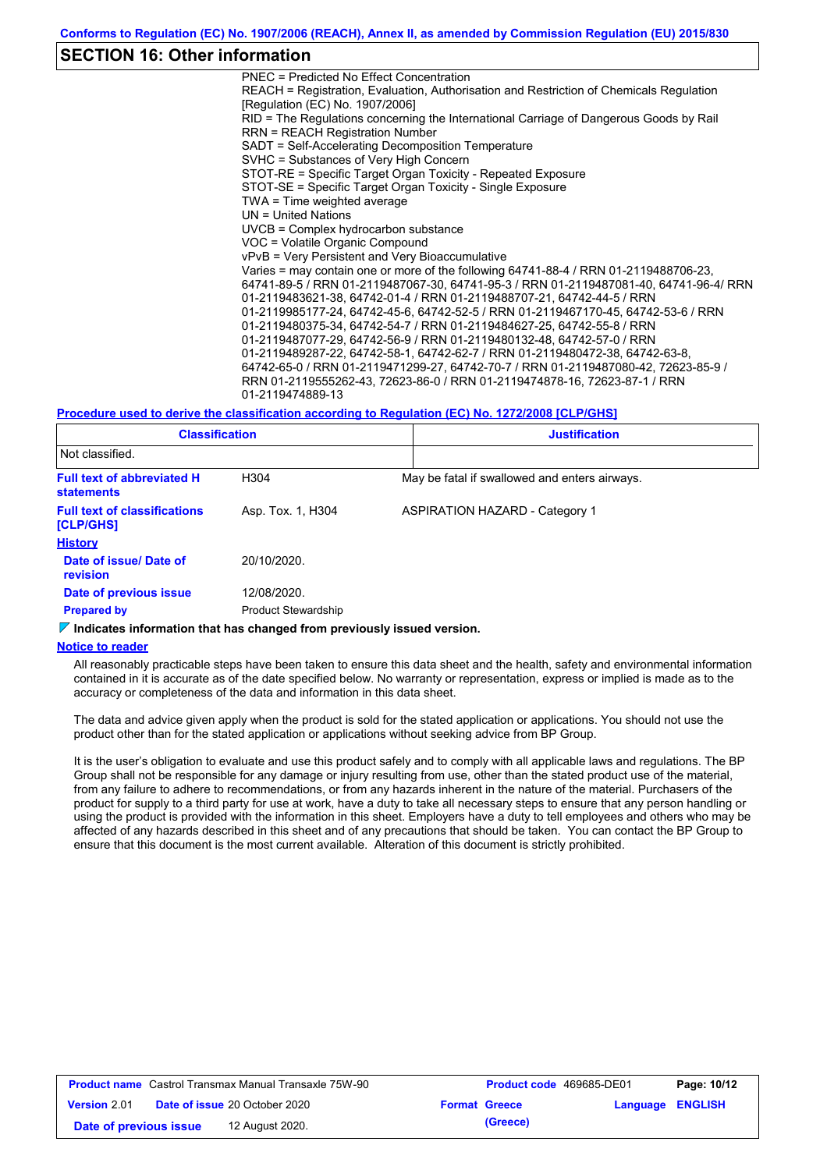## **SECTION 16: Other information**

PNEC = Predicted No Effect Concentration REACH = Registration, Evaluation, Authorisation and Restriction of Chemicals Regulation [Regulation (EC) No. 1907/2006] RID = The Regulations concerning the International Carriage of Dangerous Goods by Rail RRN = REACH Registration Number SADT = Self-Accelerating Decomposition Temperature SVHC = Substances of Very High Concern STOT-RE = Specific Target Organ Toxicity - Repeated Exposure STOT-SE = Specific Target Organ Toxicity - Single Exposure TWA = Time weighted average UN = United Nations UVCB = Complex hydrocarbon substance VOC = Volatile Organic Compound vPvB = Very Persistent and Very Bioaccumulative Varies = may contain one or more of the following 64741-88-4 / RRN 01-2119488706-23, 64741-89-5 / RRN 01-2119487067-30, 64741-95-3 / RRN 01-2119487081-40, 64741-96-4/ RRN 01-2119483621-38, 64742-01-4 / RRN 01-2119488707-21, 64742-44-5 / RRN 01-2119985177-24, 64742-45-6, 64742-52-5 / RRN 01-2119467170-45, 64742-53-6 / RRN 01-2119480375-34, 64742-54-7 / RRN 01-2119484627-25, 64742-55-8 / RRN 01-2119487077-29, 64742-56-9 / RRN 01-2119480132-48, 64742-57-0 / RRN 01-2119489287-22, 64742-58-1, 64742-62-7 / RRN 01-2119480472-38, 64742-63-8, 64742-65-0 / RRN 01-2119471299-27, 64742-70-7 / RRN 01-2119487080-42, 72623-85-9 / RRN 01-2119555262-43, 72623-86-0 / RRN 01-2119474878-16, 72623-87-1 / RRN 01-2119474889-13

#### **Procedure used to derive the classification according to Regulation (EC) No. 1272/2008 [CLP/GHS]**

| <b>Classification</b>                                  |                            | <b>Justification</b>                          |
|--------------------------------------------------------|----------------------------|-----------------------------------------------|
| Not classified.                                        |                            |                                               |
| <b>Full text of abbreviated H</b><br><b>statements</b> | H304                       | May be fatal if swallowed and enters airways. |
| <b>Full text of classifications</b><br>[CLP/GHS]       | Asp. Tox. 1, H304          | <b>ASPIRATION HAZARD - Category 1</b>         |
| <b>History</b>                                         |                            |                                               |
| Date of issue/Date of<br>revision                      | 20/10/2020.                |                                               |
| Date of previous issue                                 | 12/08/2020.                |                                               |
| <b>Prepared by</b>                                     | <b>Product Stewardship</b> |                                               |

#### **Indicates information that has changed from previously issued version.**

#### **Notice to reader**

All reasonably practicable steps have been taken to ensure this data sheet and the health, safety and environmental information contained in it is accurate as of the date specified below. No warranty or representation, express or implied is made as to the accuracy or completeness of the data and information in this data sheet.

The data and advice given apply when the product is sold for the stated application or applications. You should not use the product other than for the stated application or applications without seeking advice from BP Group.

It is the user's obligation to evaluate and use this product safely and to comply with all applicable laws and regulations. The BP Group shall not be responsible for any damage or injury resulting from use, other than the stated product use of the material, from any failure to adhere to recommendations, or from any hazards inherent in the nature of the material. Purchasers of the product for supply to a third party for use at work, have a duty to take all necessary steps to ensure that any person handling or using the product is provided with the information in this sheet. Employers have a duty to tell employees and others who may be affected of any hazards described in this sheet and of any precautions that should be taken. You can contact the BP Group to ensure that this document is the most current available. Alteration of this document is strictly prohibited.

| <b>Product name</b> Castrol Transmax Manual Transaxle 75W-90 |  | Product code 469685-DE01             |  | Page: 10/12          |                         |  |
|--------------------------------------------------------------|--|--------------------------------------|--|----------------------|-------------------------|--|
| <b>Version 2.01</b>                                          |  | <b>Date of issue 20 October 2020</b> |  | <b>Format Greece</b> | <b>Language ENGLISH</b> |  |
| Date of previous issue                                       |  | 12 August 2020.                      |  | (Greece)             |                         |  |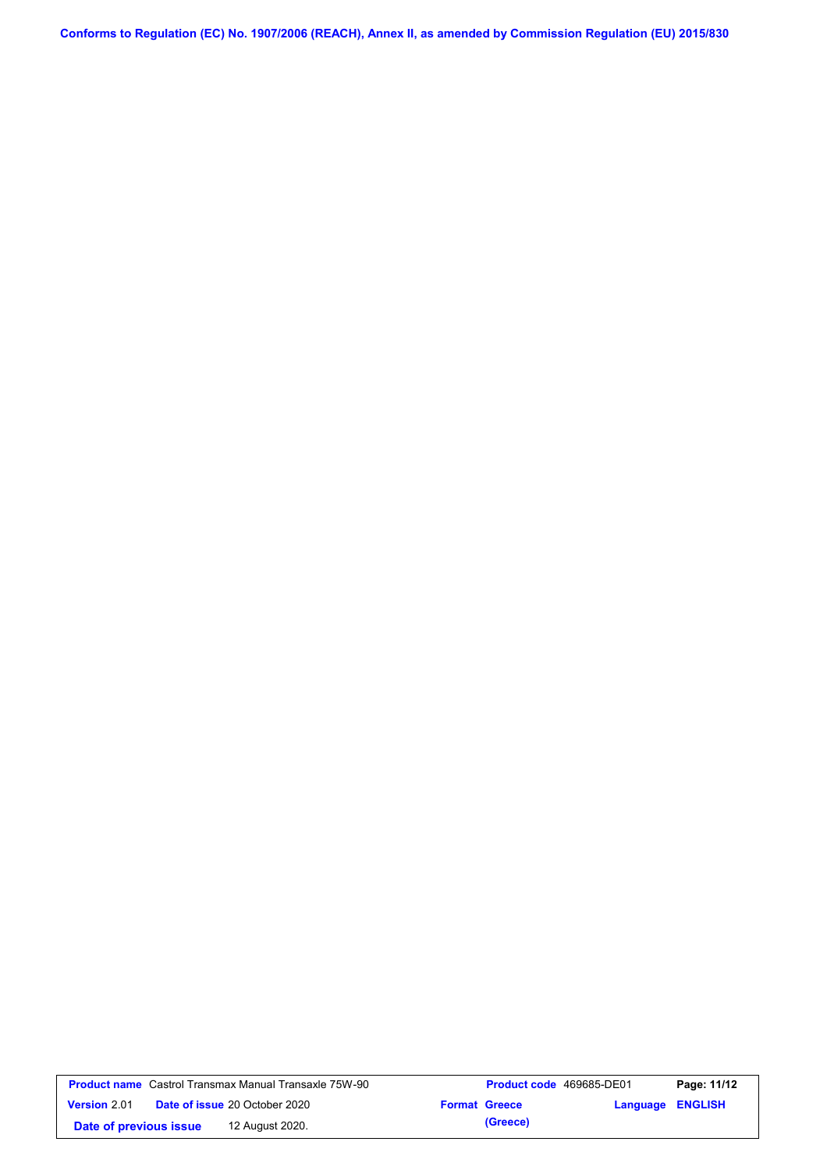| <b>Product name</b> Castrol Transmax Manual Transaxle 75W-90 |  | <b>Product code</b> 469685-DE01      |  | Page: 11/12          |                         |  |
|--------------------------------------------------------------|--|--------------------------------------|--|----------------------|-------------------------|--|
| <b>Version 2.01</b>                                          |  | <b>Date of issue 20 October 2020</b> |  | <b>Format Greece</b> | <b>Language ENGLISH</b> |  |
| Date of previous issue                                       |  | 12 August 2020.                      |  | (Greece)             |                         |  |

 $\mathsf{l}$